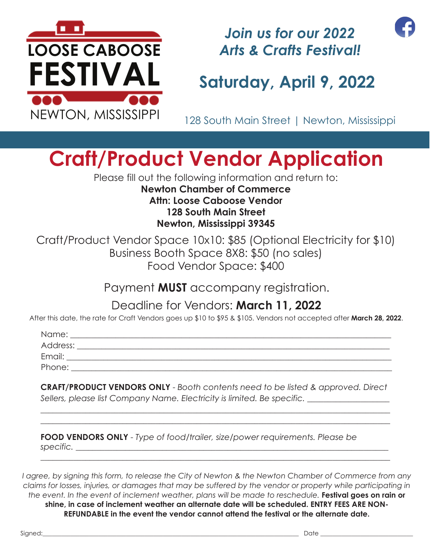

## *Join us for our 2022 Arts & Crafts Festival!*



## **Saturday, April 9, 2022**

128 South Main Street | Newton, Mississippi

# **Craft/Product Vendor Application**

Please fill out the following information and return to: **Newton Chamber of Commerce Attn: Loose Caboose Vendor 128 South Main Street Newton, Mississippi 39345**

Craft/Product Vendor Space 10x10: \$85 (Optional Electricity for \$10) Business Booth Space 8X8: \$50 (no sales) Food Vendor Space: \$400

Payment **MUST** accompany registration.

Deadline for Vendors: **March 11, 2022**

After this date, the rate for Craft Vendors goes up \$10 to \$95 & \$105. Vendors not accepted after **March 28, 2022**.

| Name:    |  |
|----------|--|
| Address: |  |
| Email:   |  |
| Phone:   |  |

**CRAFT/PRODUCT VENDORS ONLY** - *Booth contents need to be listed & approved. Direct Sellers, please list Company Name. Electricity is limited. Be specific. \_\_\_\_\_\_\_\_\_\_\_\_\_\_\_\_\_\_\_\_* 

*\_\_\_\_\_\_\_\_\_\_\_\_\_\_\_\_\_\_\_\_\_\_\_\_\_\_\_\_\_\_\_\_\_\_\_\_\_\_\_\_\_\_\_\_\_\_\_\_\_\_\_\_\_\_\_\_\_\_\_\_\_\_\_\_\_\_\_\_\_\_\_\_\_\_\_\_\_\_\_\_\_\_\_\_\_ \_\_\_\_\_\_\_\_\_\_\_\_\_\_\_\_\_\_\_\_\_\_\_\_\_\_\_\_\_\_\_\_\_\_\_\_\_\_\_\_\_\_\_\_\_\_\_\_\_\_\_\_\_\_\_\_\_\_\_\_\_\_\_\_\_\_\_\_\_\_\_\_\_\_\_\_\_\_\_\_\_\_\_\_\_*

**FOOD VENDORS ONLY** - *Type of food/trailer, size/power requirements. Please be specific. \_\_\_\_\_\_\_\_\_\_\_\_\_\_\_\_\_\_\_\_\_\_\_\_\_\_\_\_\_\_\_\_\_\_\_\_\_\_\_\_\_\_\_\_\_\_\_\_\_\_\_\_\_\_\_\_\_\_\_\_\_\_\_\_\_\_\_\_\_\_\_\_\_\_\_\_* 

*I agree, by signing this form, to release the City of Newton & the Newton Chamber of Commerce from any claims for losses, injuries, or damages that may be suffered by the vendor or property while participating in the event. In the event of inclement weather, plans will be made to reschedule.* **Festival goes on rain or shine, in case of inclement weather an alternate date will be scheduled. ENTRY FEES ARE NON-REFUNDABLE in the event the vendor cannot attend the festival or the alternate date.**

*\_\_\_\_\_\_\_\_\_\_\_\_\_\_\_\_\_\_\_\_\_\_\_\_\_\_\_\_\_\_\_\_\_\_\_\_\_\_\_\_\_\_\_\_\_\_\_\_\_\_\_\_\_\_\_\_\_\_\_\_\_\_\_\_\_\_\_\_\_\_\_\_\_\_\_\_\_\_\_\_\_\_\_\_\_*